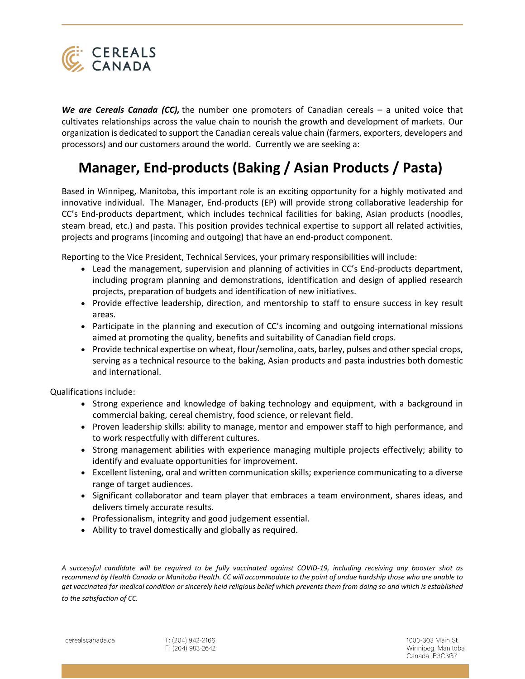

*We are Cereals Canada (CC),* the number one promoters of Canadian cereals – a united voice that cultivates relationships across the value chain to nourish the growth and development of markets. Our organization is dedicated to support the Canadian cereals value chain (farmers, exporters, developers and processors) and our customers around the world. Currently we are seeking a:

## **Manager, End-products (Baking / Asian Products / Pasta)**

Based in Winnipeg, Manitoba, this important role is an exciting opportunity for a highly motivated and innovative individual. The Manager, End-products (EP) will provide strong collaborative leadership for CC's End-products department, which includes technical facilities for baking, Asian products (noodles, steam bread, etc.) and pasta. This position provides technical expertise to support all related activities, projects and programs (incoming and outgoing) that have an end-product component.

Reporting to the Vice President, Technical Services, your primary responsibilities will include:

- Lead the management, supervision and planning of activities in CC's End-products department, including program planning and demonstrations, identification and design of applied research projects, preparation of budgets and identification of new initiatives.
- Provide effective leadership, direction, and mentorship to staff to ensure success in key result areas.
- Participate in the planning and execution of CC's incoming and outgoing international missions aimed at promoting the quality, benefits and suitability of Canadian field crops.
- Provide technical expertise on wheat, flour/semolina, oats, barley, pulses and other special crops, serving as a technical resource to the baking, Asian products and pasta industries both domestic and international.

Qualifications include:

- Strong experience and knowledge of baking technology and equipment, with a background in commercial baking, cereal chemistry, food science, or relevant field.
- Proven leadership skills: ability to manage, mentor and empower staff to high performance, and to work respectfully with different cultures.
- Strong management abilities with experience managing multiple projects effectively; ability to identify and evaluate opportunities for improvement.
- Excellent listening, oral and written communication skills; experience communicating to a diverse range of target audiences.
- Significant collaborator and team player that embraces a team environment, shares ideas, and delivers timely accurate results.
- Professionalism, integrity and good judgement essential.
- Ability to travel domestically and globally as required.

*A successful candidate will be required to be fully vaccinated against COVID-19, including receiving any booster shot as recommend by Health Canada or Manitoba Health. CC will accommodate to the point of undue hardship those who are unable to get vaccinated for medical condition or sincerely held religious belief which prevents them from doing so and which is established to the satisfaction of CC.*